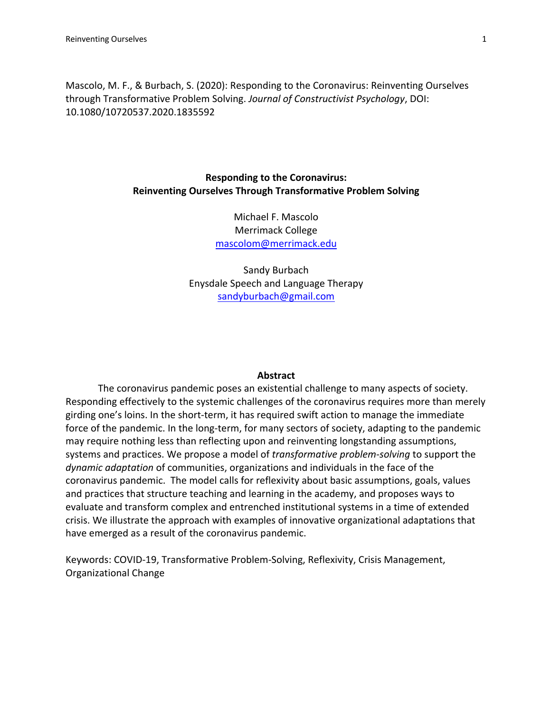Mascolo, M. F., & Burbach, S. (2020): Responding to the Coronavirus: Reinventing Ourselves through Transformative Problem Solving. *Journal of Constructivist Psychology*, DOI: 10.1080/10720537.2020.1835592

# **Responding to the Coronavirus: Reinventing Ourselves Through Transformative Problem Solving**

Michael F. Mascolo Merrimack College mascolom@merrimack.edu

Sandy Burbach Enysdale Speech and Language Therapy sandyburbach@gmail.com

### **Abstract**

The coronavirus pandemic poses an existential challenge to many aspects of society. Responding effectively to the systemic challenges of the coronavirus requires more than merely girding one's loins. In the short-term, it has required swift action to manage the immediate force of the pandemic. In the long-term, for many sectors of society, adapting to the pandemic may require nothing less than reflecting upon and reinventing longstanding assumptions, systems and practices. We propose a model of *transformative problem-solving* to support the *dynamic adaptation* of communities, organizations and individuals in the face of the coronavirus pandemic. The model calls for reflexivity about basic assumptions, goals, values and practices that structure teaching and learning in the academy, and proposes ways to evaluate and transform complex and entrenched institutional systems in a time of extended crisis. We illustrate the approach with examples of innovative organizational adaptations that have emerged as a result of the coronavirus pandemic.

Keywords: COVID-19, Transformative Problem-Solving, Reflexivity, Crisis Management, Organizational Change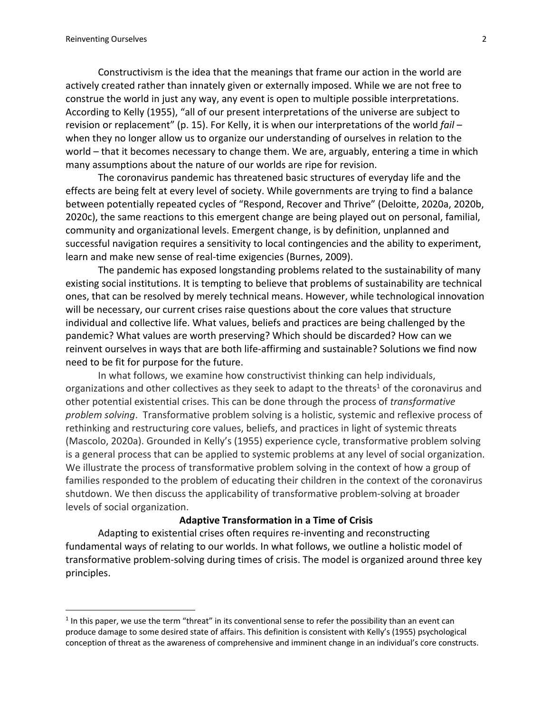Constructivism is the idea that the meanings that frame our action in the world are actively created rather than innately given or externally imposed. While we are not free to construe the world in just any way, any event is open to multiple possible interpretations. According to Kelly (1955), "all of our present interpretations of the universe are subject to revision or replacement" (p. 15). For Kelly, it is when our interpretations of the world *fail* – when they no longer allow us to organize our understanding of ourselves in relation to the world – that it becomes necessary to change them. We are, arguably, entering a time in which many assumptions about the nature of our worlds are ripe for revision.

The coronavirus pandemic has threatened basic structures of everyday life and the effects are being felt at every level of society. While governments are trying to find a balance between potentially repeated cycles of "Respond, Recover and Thrive" (Deloitte, 2020a, 2020b, 2020c), the same reactions to this emergent change are being played out on personal, familial, community and organizational levels. Emergent change, is by definition, unplanned and successful navigation requires a sensitivity to local contingencies and the ability to experiment, learn and make new sense of real-time exigencies (Burnes, 2009).

The pandemic has exposed longstanding problems related to the sustainability of many existing social institutions. It is tempting to believe that problems of sustainability are technical ones, that can be resolved by merely technical means. However, while technological innovation will be necessary, our current crises raise questions about the core values that structure individual and collective life. What values, beliefs and practices are being challenged by the pandemic? What values are worth preserving? Which should be discarded? How can we reinvent ourselves in ways that are both life-affirming and sustainable? Solutions we find now need to be fit for purpose for the future.

In what follows, we examine how constructivist thinking can help individuals, organizations and other collectives as they seek to adapt to the threats<sup>1</sup> of the coronavirus and other potential existential crises. This can be done through the process of *transformative problem solving*. Transformative problem solving is a holistic, systemic and reflexive process of rethinking and restructuring core values, beliefs, and practices in light of systemic threats (Mascolo, 2020a). Grounded in Kelly's (1955) experience cycle, transformative problem solving is a general process that can be applied to systemic problems at any level of social organization. We illustrate the process of transformative problem solving in the context of how a group of families responded to the problem of educating their children in the context of the coronavirus shutdown. We then discuss the applicability of transformative problem-solving at broader levels of social organization.

# **Adaptive Transformation in a Time of Crisis**

Adapting to existential crises often requires re-inventing and reconstructing fundamental ways of relating to our worlds. In what follows, we outline a holistic model of transformative problem-solving during times of crisis. The model is organized around three key principles.

<sup>&</sup>lt;sup>1</sup> In this paper, we use the term "threat" in its conventional sense to refer the possibility than an event can produce damage to some desired state of affairs. This definition is consistent with Kelly's (1955) psychological conception of threat as the awareness of comprehensive and imminent change in an individual's core constructs.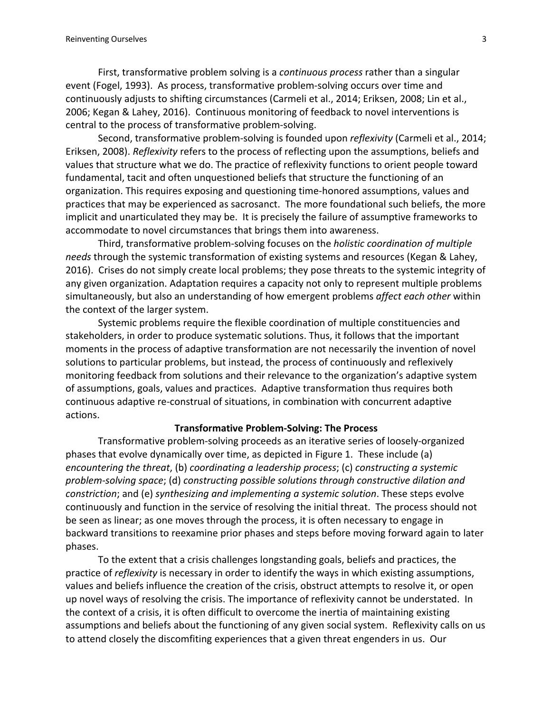First, transformative problem solving is a *continuous process* rather than a singular event (Fogel, 1993). As process, transformative problem-solving occurs over time and continuously adjusts to shifting circumstances (Carmeli et al., 2014; Eriksen, 2008; Lin et al., 2006; Kegan & Lahey, 2016). Continuous monitoring of feedback to novel interventions is central to the process of transformative problem-solving.

Second, transformative problem-solving is founded upon *reflexivity* (Carmeli et al., 2014; Eriksen, 2008). *Reflexivity* refers to the process of reflecting upon the assumptions, beliefs and values that structure what we do. The practice of reflexivity functions to orient people toward fundamental, tacit and often unquestioned beliefs that structure the functioning of an organization. This requires exposing and questioning time-honored assumptions, values and practices that may be experienced as sacrosanct. The more foundational such beliefs, the more implicit and unarticulated they may be. It is precisely the failure of assumptive frameworks to accommodate to novel circumstances that brings them into awareness.

Third, transformative problem-solving focuses on the *holistic coordination of multiple needs* through the systemic transformation of existing systems and resources (Kegan & Lahey, 2016). Crises do not simply create local problems; they pose threats to the systemic integrity of any given organization. Adaptation requires a capacity not only to represent multiple problems simultaneously, but also an understanding of how emergent problems *affect each other* within the context of the larger system.

Systemic problems require the flexible coordination of multiple constituencies and stakeholders, in order to produce systematic solutions. Thus, it follows that the important moments in the process of adaptive transformation are not necessarily the invention of novel solutions to particular problems, but instead, the process of continuously and reflexively monitoring feedback from solutions and their relevance to the organization's adaptive system of assumptions, goals, values and practices. Adaptive transformation thus requires both continuous adaptive re-construal of situations, in combination with concurrent adaptive actions.

### **Transformative Problem-Solving: The Process**

Transformative problem-solving proceeds as an iterative series of loosely-organized phases that evolve dynamically over time, as depicted in Figure 1. These include (a) *encountering the threat*, (b) *coordinating a leadership process*; (c) *constructing a systemic problem-solving space*; (d) *constructing possible solutions through constructive dilation and constriction*; and (e) *synthesizing and implementing a systemic solution*. These steps evolve continuously and function in the service of resolving the initial threat. The process should not be seen as linear; as one moves through the process, it is often necessary to engage in backward transitions to reexamine prior phases and steps before moving forward again to later phases.

To the extent that a crisis challenges longstanding goals, beliefs and practices, the practice of *reflexivity* is necessary in order to identify the ways in which existing assumptions, values and beliefs influence the creation of the crisis, obstruct attempts to resolve it, or open up novel ways of resolving the crisis. The importance of reflexivity cannot be understated. In the context of a crisis, it is often difficult to overcome the inertia of maintaining existing assumptions and beliefs about the functioning of any given social system. Reflexivity calls on us to attend closely the discomfiting experiences that a given threat engenders in us. Our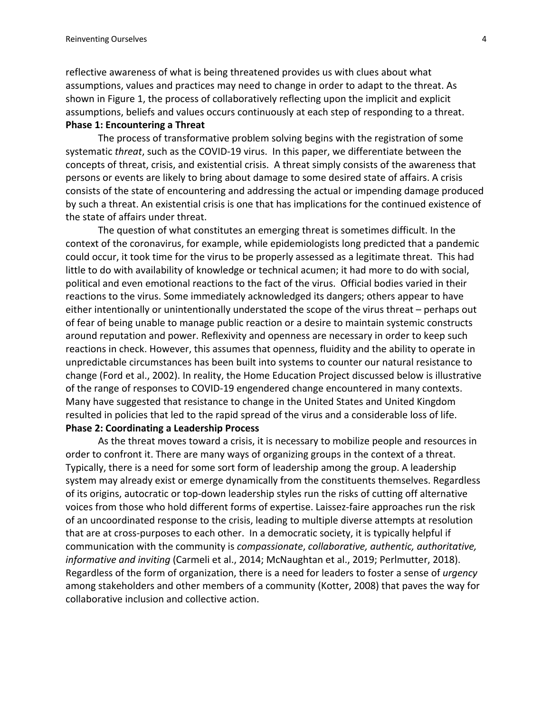reflective awareness of what is being threatened provides us with clues about what assumptions, values and practices may need to change in order to adapt to the threat. As shown in Figure 1, the process of collaboratively reflecting upon the implicit and explicit assumptions, beliefs and values occurs continuously at each step of responding to a threat.

# **Phase 1: Encountering a Threat**

The process of transformative problem solving begins with the registration of some systematic *threat*, such as the COVID-19 virus. In this paper, we differentiate between the concepts of threat, crisis, and existential crisis. A threat simply consists of the awareness that persons or events are likely to bring about damage to some desired state of affairs. A crisis consists of the state of encountering and addressing the actual or impending damage produced by such a threat. An existential crisis is one that has implications for the continued existence of the state of affairs under threat.

The question of what constitutes an emerging threat is sometimes difficult. In the context of the coronavirus, for example, while epidemiologists long predicted that a pandemic could occur, it took time for the virus to be properly assessed as a legitimate threat. This had little to do with availability of knowledge or technical acumen; it had more to do with social, political and even emotional reactions to the fact of the virus. Official bodies varied in their reactions to the virus. Some immediately acknowledged its dangers; others appear to have either intentionally or unintentionally understated the scope of the virus threat – perhaps out of fear of being unable to manage public reaction or a desire to maintain systemic constructs around reputation and power. Reflexivity and openness are necessary in order to keep such reactions in check. However, this assumes that openness, fluidity and the ability to operate in unpredictable circumstances has been built into systems to counter our natural resistance to change (Ford et al., 2002). In reality, the Home Education Project discussed below is illustrative of the range of responses to COVID-19 engendered change encountered in many contexts. Many have suggested that resistance to change in the United States and United Kingdom resulted in policies that led to the rapid spread of the virus and a considerable loss of life. **Phase 2: Coordinating a Leadership Process**

As the threat moves toward a crisis, it is necessary to mobilize people and resources in order to confront it. There are many ways of organizing groups in the context of a threat. Typically, there is a need for some sort form of leadership among the group. A leadership system may already exist or emerge dynamically from the constituents themselves. Regardless of its origins, autocratic or top-down leadership styles run the risks of cutting off alternative voices from those who hold different forms of expertise. Laissez-faire approaches run the risk of an uncoordinated response to the crisis, leading to multiple diverse attempts at resolution that are at cross-purposes to each other. In a democratic society, it is typically helpful if communication with the community is *compassionate*, *collaborative, authentic, authoritative, informative and inviting* (Carmeli et al., 2014; McNaughtan et al., 2019; Perlmutter, 2018). Regardless of the form of organization, there is a need for leaders to foster a sense of *urgency* among stakeholders and other members of a community (Kotter, 2008) that paves the way for collaborative inclusion and collective action.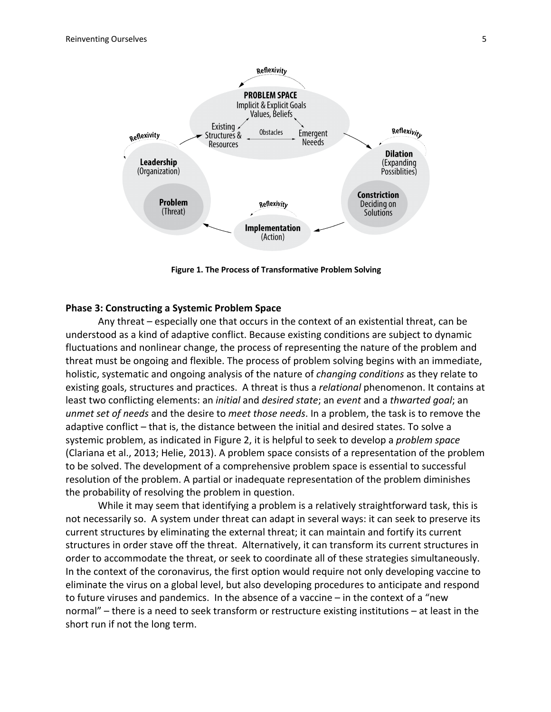

**Figure 1. The Process of Transformative Problem Solving**

#### **Phase 3: Constructing a Systemic Problem Space**

Any threat – especially one that occurs in the context of an existential threat, can be understood as a kind of adaptive conflict. Because existing conditions are subject to dynamic fluctuations and nonlinear change, the process of representing the nature of the problem and threat must be ongoing and flexible. The process of problem solving begins with an immediate, holistic, systematic and ongoing analysis of the nature of *changing conditions* as they relate to existing goals, structures and practices. A threat is thus a *relational* phenomenon. It contains at least two conflicting elements: an *initial* and *desired state*; an *event* and a *thwarted goal*; an *unmet set of needs* and the desire to *meet those needs*. In a problem, the task is to remove the adaptive conflict – that is, the distance between the initial and desired states. To solve a systemic problem, as indicated in Figure 2, it is helpful to seek to develop a *problem space* (Clariana et al., 2013; Helie, 2013). A problem space consists of a representation of the problem to be solved. The development of a comprehensive problem space is essential to successful resolution of the problem. A partial or inadequate representation of the problem diminishes the probability of resolving the problem in question.

While it may seem that identifying a problem is a relatively straightforward task, this is not necessarily so. A system under threat can adapt in several ways: it can seek to preserve its current structures by eliminating the external threat; it can maintain and fortify its current structures in order stave off the threat. Alternatively, it can transform its current structures in order to accommodate the threat, or seek to coordinate all of these strategies simultaneously. In the context of the coronavirus, the first option would require not only developing vaccine to eliminate the virus on a global level, but also developing procedures to anticipate and respond to future viruses and pandemics. In the absence of a vaccine – in the context of a "new normal" – there is a need to seek transform or restructure existing institutions – at least in the short run if not the long term.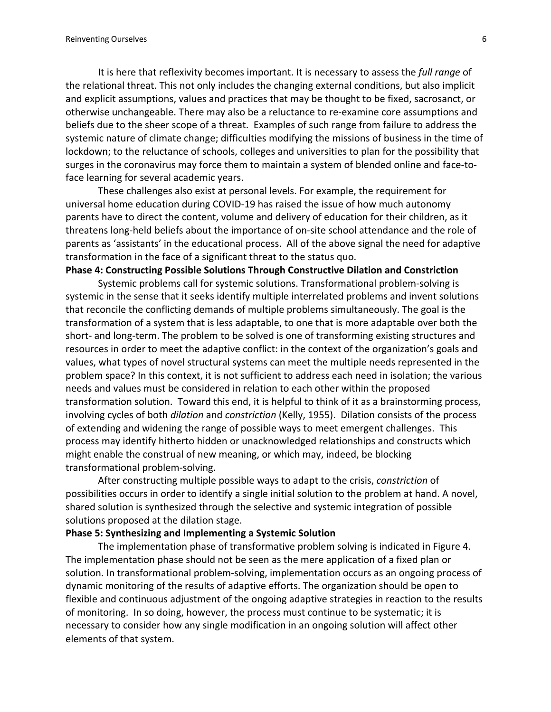It is here that reflexivity becomes important. It is necessary to assess the *full range* of the relational threat. This not only includes the changing external conditions, but also implicit and explicit assumptions, values and practices that may be thought to be fixed, sacrosanct, or otherwise unchangeable. There may also be a reluctance to re-examine core assumptions and beliefs due to the sheer scope of a threat. Examples of such range from failure to address the systemic nature of climate change; difficulties modifying the missions of business in the time of lockdown; to the reluctance of schools, colleges and universities to plan for the possibility that surges in the coronavirus may force them to maintain a system of blended online and face-toface learning for several academic years.

These challenges also exist at personal levels. For example, the requirement for universal home education during COVID-19 has raised the issue of how much autonomy parents have to direct the content, volume and delivery of education for their children, as it threatens long-held beliefs about the importance of on-site school attendance and the role of parents as 'assistants' in the educational process. All of the above signal the need for adaptive transformation in the face of a significant threat to the status quo.

#### **Phase 4: Constructing Possible Solutions Through Constructive Dilation and Constriction**

Systemic problems call for systemic solutions. Transformational problem-solving is systemic in the sense that it seeks identify multiple interrelated problems and invent solutions that reconcile the conflicting demands of multiple problems simultaneously. The goal is the transformation of a system that is less adaptable, to one that is more adaptable over both the short- and long-term. The problem to be solved is one of transforming existing structures and resources in order to meet the adaptive conflict: in the context of the organization's goals and values, what types of novel structural systems can meet the multiple needs represented in the problem space? In this context, it is not sufficient to address each need in isolation; the various needs and values must be considered in relation to each other within the proposed transformation solution. Toward this end, it is helpful to think of it as a brainstorming process, involving cycles of both *dilation* and *constriction* (Kelly, 1955). Dilation consists of the process of extending and widening the range of possible ways to meet emergent challenges. This process may identify hitherto hidden or unacknowledged relationships and constructs which might enable the construal of new meaning, or which may, indeed, be blocking transformational problem-solving.

After constructing multiple possible ways to adapt to the crisis, *constriction* of possibilities occurs in order to identify a single initial solution to the problem at hand. A novel, shared solution is synthesized through the selective and systemic integration of possible solutions proposed at the dilation stage.

# **Phase 5: Synthesizing and Implementing a Systemic Solution**

The implementation phase of transformative problem solving is indicated in Figure 4. The implementation phase should not be seen as the mere application of a fixed plan or solution. In transformational problem-solving, implementation occurs as an ongoing process of dynamic monitoring of the results of adaptive efforts. The organization should be open to flexible and continuous adjustment of the ongoing adaptive strategies in reaction to the results of monitoring. In so doing, however, the process must continue to be systematic; it is necessary to consider how any single modification in an ongoing solution will affect other elements of that system.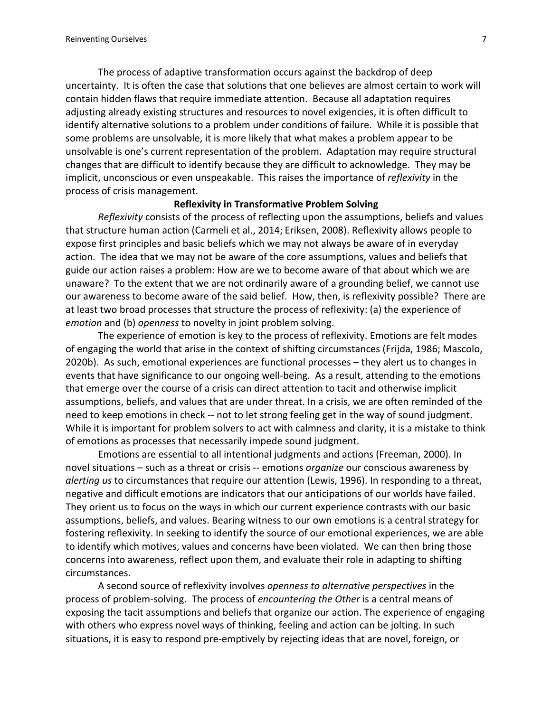The process of adaptive transformation occurs against the backdrop of deep uncertainty. It is often the case that solutions that one believes are almost certain to work will contain hidden flaws that require immediate attention. Because all adaptation requires adjusting already existing structures and resources to novel exigencies, it is often difficult to identify alternative solutions to a problem under conditions of failure. While it is possible that some problems are unsolvable, it is more likely that what makes a problem appear to be unsolvable is one's current representation of the problem. Adaptation may require structural changes that are difficult to identify because they are difficult to acknowledge. They may be implicit, unconscious or even unspeakable. This raises the importance of *reflexivity* in the process of crisis management.

### **Reflexivity in Transformative Problem Solving**

*Reflexivity* consists of the process of reflecting upon the assumptions, beliefs and values that structure human action (Carmeli et al., 2014; Eriksen, 2008). Reflexivity allows people to expose first principles and basic beliefs which we may not always be aware of in everyday action. The idea that we may not be aware of the core assumptions, values and beliefs that guide our action raises a problem: How are we to become aware of that about which we are unaware? To the extent that we are not ordinarily aware of a grounding belief, we cannot use our awareness to become aware of the said belief. How, then, is reflexivity possible? There are at least two broad processes that structure the process of reflexivity: (a) the experience of *emotion* and (b) *openness* to novelty in joint problem solving.

The experience of emotion is key to the process of reflexivity. Emotions are felt modes of engaging the world that arise in the context of shifting circumstances (Frijda, 1986; Mascolo, 2020b). As such, emotional experiences are functional processes – they alert us to changes in events that have significance to our ongoing well-being. As a result, attending to the emotions that emerge over the course of a crisis can direct attention to tacit and otherwise implicit assumptions, beliefs, and values that are under threat. In a crisis, we are often reminded of the need to keep emotions in check -- not to let strong feeling get in the way of sound judgment. While it is important for problem solvers to act with calmness and clarity, it is a mistake to think of emotions as processes that necessarily impede sound judgment.

Emotions are essential to all intentional judgments and actions (Freeman, 2000). In novel situations – such as a threat or crisis -- emotions *organize* our conscious awareness by *alerting us* to circumstances that require our attention (Lewis, 1996). In responding to a threat, negative and difficult emotions are indicators that our anticipations of our worlds have failed. They orient us to focus on the ways in which our current experience contrasts with our basic assumptions, beliefs, and values. Bearing witness to our own emotions is a central strategy for fostering reflexivity. In seeking to identify the source of our emotional experiences, we are able to identify which motives, values and concerns have been violated. We can then bring those concerns into awareness, reflect upon them, and evaluate their role in adapting to shifting circumstances.

A second source of reflexivity involves *openness to alternative perspectives* in the process of problem-solving. The process of *encountering the Other* is a central means of exposing the tacit assumptions and beliefs that organize our action. The experience of engaging with others who express novel ways of thinking, feeling and action can be jolting. In such situations, it is easy to respond pre-emptively by rejecting ideas that are novel, foreign, or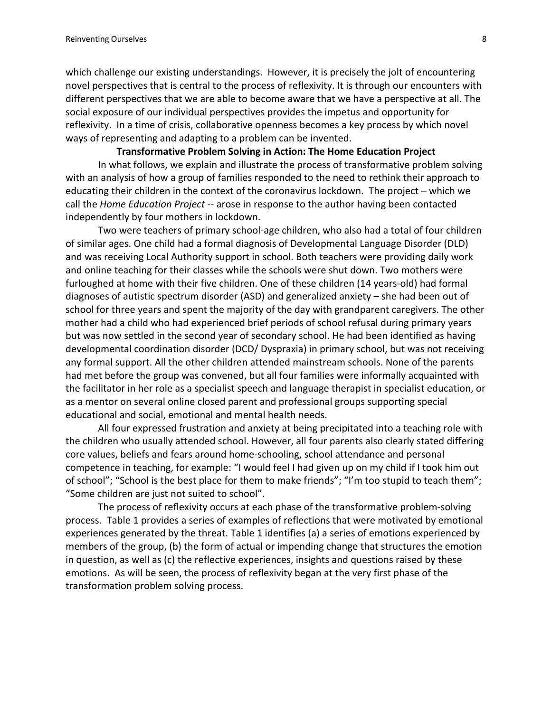which challenge our existing understandings. However, it is precisely the jolt of encountering novel perspectives that is central to the process of reflexivity. It is through our encounters with different perspectives that we are able to become aware that we have a perspective at all. The social exposure of our individual perspectives provides the impetus and opportunity for reflexivity. In a time of crisis, collaborative openness becomes a key process by which novel ways of representing and adapting to a problem can be invented.

**Transformative Problem Solving in Action: The Home Education Project** In what follows, we explain and illustrate the process of transformative problem solving with an analysis of how a group of families responded to the need to rethink their approach to educating their children in the context of the coronavirus lockdown. The project – which we call the *Home Education Project* -- arose in response to the author having been contacted independently by four mothers in lockdown.

Two were teachers of primary school-age children, who also had a total of four children of similar ages. One child had a formal diagnosis of Developmental Language Disorder (DLD) and was receiving Local Authority support in school. Both teachers were providing daily work and online teaching for their classes while the schools were shut down. Two mothers were furloughed at home with their five children. One of these children (14 years-old) had formal diagnoses of autistic spectrum disorder (ASD) and generalized anxiety – she had been out of school for three years and spent the majority of the day with grandparent caregivers. The other mother had a child who had experienced brief periods of school refusal during primary years but was now settled in the second year of secondary school. He had been identified as having developmental coordination disorder (DCD/ Dyspraxia) in primary school, but was not receiving any formal support. All the other children attended mainstream schools. None of the parents had met before the group was convened, but all four families were informally acquainted with the facilitator in her role as a specialist speech and language therapist in specialist education, or as a mentor on several online closed parent and professional groups supporting special educational and social, emotional and mental health needs.

All four expressed frustration and anxiety at being precipitated into a teaching role with the children who usually attended school. However, all four parents also clearly stated differing core values, beliefs and fears around home-schooling, school attendance and personal competence in teaching, for example: "I would feel I had given up on my child if I took him out of school"; "School is the best place for them to make friends"; "I'm too stupid to teach them"; "Some children are just not suited to school".

The process of reflexivity occurs at each phase of the transformative problem-solving process. Table 1 provides a series of examples of reflections that were motivated by emotional experiences generated by the threat. Table 1 identifies (a) a series of emotions experienced by members of the group, (b) the form of actual or impending change that structures the emotion in question, as well as (c) the reflective experiences, insights and questions raised by these emotions. As will be seen, the process of reflexivity began at the very first phase of the transformation problem solving process.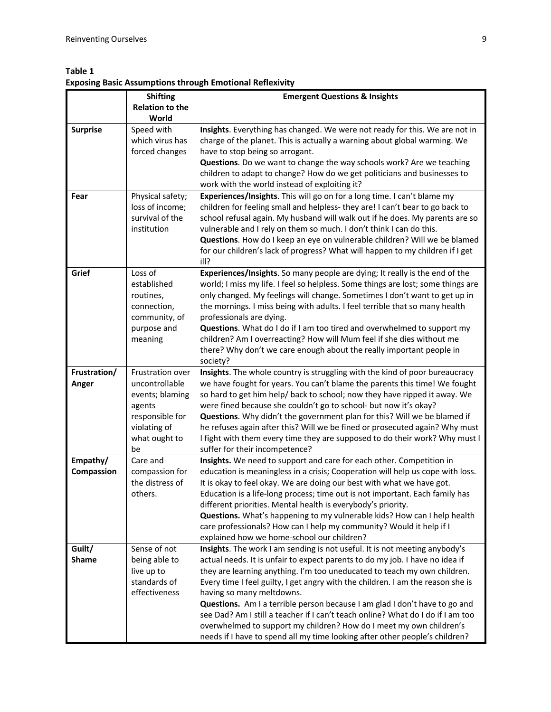| Table 1                                                         |  |
|-----------------------------------------------------------------|--|
| <b>Exposing Basic Assumptions through Emotional Reflexivity</b> |  |

|                 | <b>Shifting</b>        | <b>Emergent Questions &amp; Insights</b>                                         |
|-----------------|------------------------|----------------------------------------------------------------------------------|
|                 | <b>Relation to the</b> |                                                                                  |
|                 | World                  |                                                                                  |
| <b>Surprise</b> | Speed with             | Insights. Everything has changed. We were not ready for this. We are not in      |
|                 | which virus has        | charge of the planet. This is actually a warning about global warming. We        |
|                 | forced changes         | have to stop being so arrogant.                                                  |
|                 |                        | Questions. Do we want to change the way schools work? Are we teaching            |
|                 |                        | children to adapt to change? How do we get politicians and businesses to         |
|                 |                        | work with the world instead of exploiting it?                                    |
| Fear            | Physical safety;       | Experiences/Insights. This will go on for a long time. I can't blame my          |
|                 | loss of income;        | children for feeling small and helpless-they are! I can't bear to go back to     |
|                 | survival of the        | school refusal again. My husband will walk out if he does. My parents are so     |
|                 | institution            | vulnerable and I rely on them so much. I don't think I can do this.              |
|                 |                        |                                                                                  |
|                 |                        | Questions. How do I keep an eye on vulnerable children? Will we be blamed        |
|                 |                        | for our children's lack of progress? What will happen to my children if I get    |
|                 |                        | ill?                                                                             |
| Grief           | Loss of                | Experiences/Insights. So many people are dying; It really is the end of the      |
|                 | established            | world; I miss my life. I feel so helpless. Some things are lost; some things are |
|                 | routines,              | only changed. My feelings will change. Sometimes I don't want to get up in       |
|                 | connection,            | the mornings. I miss being with adults. I feel terrible that so many health      |
|                 | community, of          | professionals are dying.                                                         |
|                 | purpose and            | Questions. What do I do if I am too tired and overwhelmed to support my          |
|                 | meaning                | children? Am I overreacting? How will Mum feel if she dies without me            |
|                 |                        | there? Why don't we care enough about the really important people in             |
|                 |                        | society?                                                                         |
| Frustration/    | Frustration over       | Insights. The whole country is struggling with the kind of poor bureaucracy      |
| Anger           | uncontrollable         | we have fought for years. You can't blame the parents this time! We fought       |
|                 | events; blaming        | so hard to get him help/ back to school; now they have ripped it away. We        |
|                 | agents                 | were fined because she couldn't go to school- but now it's okay?                 |
|                 | responsible for        | Questions. Why didn't the government plan for this? Will we be blamed if         |
|                 | violating of           | he refuses again after this? Will we be fined or prosecuted again? Why must      |
|                 | what ought to          | I fight with them every time they are supposed to do their work? Why must I      |
|                 | be                     | suffer for their incompetence?                                                   |
| Empathy/        | Care and               | Insights. We need to support and care for each other. Competition in             |
| Compassion      | compassion for         | education is meaningless in a crisis; Cooperation will help us cope with loss.   |
|                 | the distress of        | It is okay to feel okay. We are doing our best with what we have got.            |
|                 | others.                | Education is a life-long process; time out is not important. Each family has     |
|                 |                        | different priorities. Mental health is everybody's priority.                     |
|                 |                        | Questions. What's happening to my vulnerable kids? How can I help health         |
|                 |                        | care professionals? How can I help my community? Would it help if I              |
|                 |                        | explained how we home-school our children?                                       |
| Guilt/          | Sense of not           |                                                                                  |
|                 |                        | Insights. The work I am sending is not useful. It is not meeting anybody's       |
| <b>Shame</b>    | being able to          | actual needs. It is unfair to expect parents to do my job. I have no idea if     |
|                 | live up to             | they are learning anything. I'm too uneducated to teach my own children.         |
|                 | standards of           | Every time I feel guilty, I get angry with the children. I am the reason she is  |
|                 | effectiveness          | having so many meltdowns.                                                        |
|                 |                        | Questions. Am I a terrible person because I am glad I don't have to go and       |
|                 |                        | see Dad? Am I still a teacher if I can't teach online? What do I do if I am too  |
|                 |                        | overwhelmed to support my children? How do I meet my own children's              |
|                 |                        | needs if I have to spend all my time looking after other people's children?      |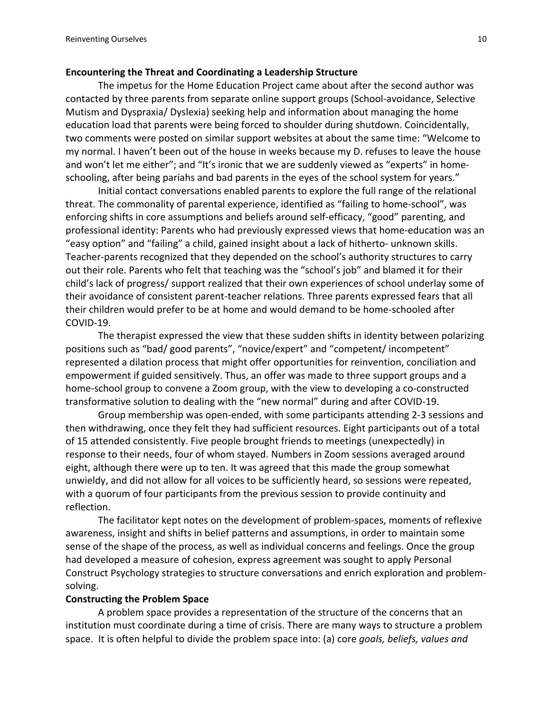#### **Encountering the Threat and Coordinating a Leadership Structure**

The impetus for the Home Education Project came about after the second author was contacted by three parents from separate online support groups (School-avoidance, Selective Mutism and Dyspraxia/ Dyslexia) seeking help and information about managing the home education load that parents were being forced to shoulder during shutdown. Coincidentally, two comments were posted on similar support websites at about the same time: "Welcome to my normal. I haven't been out of the house in weeks because my D. refuses to leave the house and won't let me either"; and "It's ironic that we are suddenly viewed as "experts" in homeschooling, after being pariahs and bad parents in the eyes of the school system for years."

Initial contact conversations enabled parents to explore the full range of the relational threat. The commonality of parental experience, identified as "failing to home-school", was enforcing shifts in core assumptions and beliefs around self-efficacy, "good" parenting, and professional identity: Parents who had previously expressed views that home-education was an "easy option" and "failing" a child, gained insight about a lack of hitherto- unknown skills. Teacher-parents recognized that they depended on the school's authority structures to carry out their role. Parents who felt that teaching was the "school's job" and blamed it for their child's lack of progress/ support realized that their own experiences of school underlay some of their avoidance of consistent parent-teacher relations. Three parents expressed fears that all their children would prefer to be at home and would demand to be home-schooled after COVID-19.

The therapist expressed the view that these sudden shifts in identity between polarizing positions such as "bad/ good parents", "novice/expert" and "competent/ incompetent" represented a dilation process that might offer opportunities for reinvention, conciliation and empowerment if guided sensitively. Thus, an offer was made to three support groups and a home-school group to convene a Zoom group, with the view to developing a co-constructed transformative solution to dealing with the "new normal" during and after COVID-19.

Group membership was open-ended, with some participants attending 2-3 sessions and then withdrawing, once they felt they had sufficient resources. Eight participants out of a total of 15 attended consistently. Five people brought friends to meetings (unexpectedly) in response to their needs, four of whom stayed. Numbers in Zoom sessions averaged around eight, although there were up to ten. It was agreed that this made the group somewhat unwieldy, and did not allow for all voices to be sufficiently heard, so sessions were repeated, with a quorum of four participants from the previous session to provide continuity and reflection.

The facilitator kept notes on the development of problem-spaces, moments of reflexive awareness, insight and shifts in belief patterns and assumptions, in order to maintain some sense of the shape of the process, as well as individual concerns and feelings. Once the group had developed a measure of cohesion, express agreement was sought to apply Personal Construct Psychology strategies to structure conversations and enrich exploration and problemsolving.

### **Constructing the Problem Space**

A problem space provides a representation of the structure of the concerns that an institution must coordinate during a time of crisis. There are many ways to structure a problem space. It is often helpful to divide the problem space into: (a) core *goals, beliefs, values and*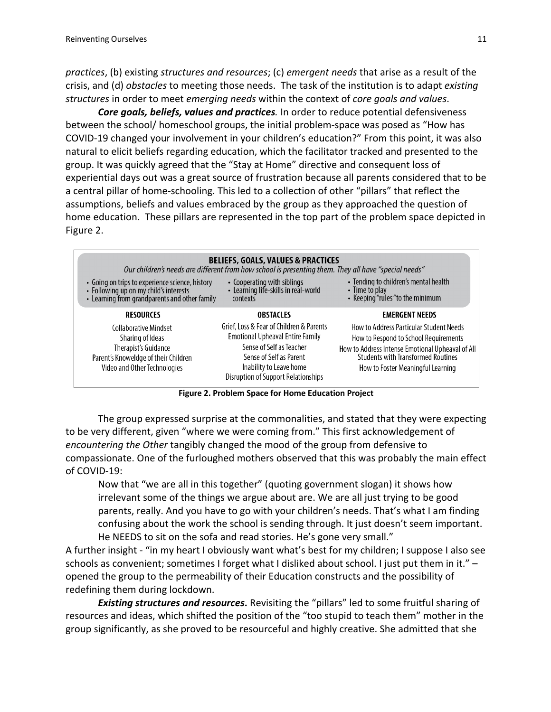*practices*, (b) existing *structures and resources*; (c) *emergent needs* that arise as a result of the crisis, and (d) *obstacles* to meeting those needs. The task of the institution is to adapt *existing structures* in order to meet *emerging needs* within the context of *core goals and values*.

*Core goals, beliefs, values and practices.* In order to reduce potential defensiveness between the school/ homeschool groups, the initial problem-space was posed as "How has COVID-19 changed your involvement in your children's education?" From this point, it was also natural to elicit beliefs regarding education, which the facilitator tracked and presented to the group. It was quickly agreed that the "Stay at Home" directive and consequent loss of experiential days out was a great source of frustration because all parents considered that to be a central pillar of home-schooling. This led to a collection of other "pillars" that reflect the assumptions, beliefs and values embraced by the group as they approached the question of home education. These pillars are represented in the top part of the problem space depicted in Figure 2.



**Figure 2. Problem Space for Home Education Project**

The group expressed surprise at the commonalities, and stated that they were expecting to be very different, given "where we were coming from." This first acknowledgement of *encountering the Other* tangibly changed the mood of the group from defensive to compassionate. One of the furloughed mothers observed that this was probably the main effect of COVID-19:

Now that "we are all in this together" (quoting government slogan) it shows how irrelevant some of the things we argue about are. We are all just trying to be good parents, really. And you have to go with your children's needs. That's what I am finding confusing about the work the school is sending through. It just doesn't seem important. He NEEDS to sit on the sofa and read stories. He's gone very small."

A further insight - "in my heart I obviously want what's best for my children; I suppose I also see schools as convenient; sometimes I forget what I disliked about school. I just put them in it." opened the group to the permeability of their Education constructs and the possibility of redefining them during lockdown.

*Existing structures and resources***.** Revisiting the "pillars" led to some fruitful sharing of resources and ideas, which shifted the position of the "too stupid to teach them" mother in the group significantly, as she proved to be resourceful and highly creative. She admitted that she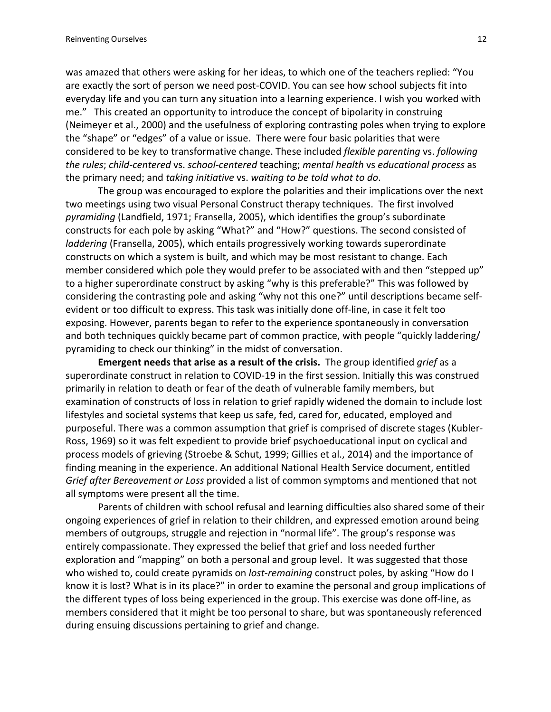was amazed that others were asking for her ideas, to which one of the teachers replied: "You are exactly the sort of person we need post-COVID. You can see how school subjects fit into everyday life and you can turn any situation into a learning experience. I wish you worked with me."This created an opportunity to introduce the concept of bipolarity in construing (Neimeyer et al., 2000) and the usefulness of exploring contrasting poles when trying to explore the "shape" or "edges" of a value or issue. There were four basic polarities that were considered to be key to transformative change. These included *flexible parenting* vs. *following the rules*; *child-centered* vs. *school-centered* teaching; *mental health* vs *educational process* as the primary need; and *taking initiative* vs. *waiting to be told what to do*.

The group was encouraged to explore the polarities and their implications over the next two meetings using two visual Personal Construct therapy techniques. The first involved *pyramiding* (Landfield, 1971; Fransella, 2005), which identifies the group's subordinate constructs for each pole by asking "What?" and "How?" questions. The second consisted of *laddering* (Fransella, 2005), which entails progressively working towards superordinate constructs on which a system is built, and which may be most resistant to change. Each member considered which pole they would prefer to be associated with and then "stepped up" to a higher superordinate construct by asking "why is this preferable?" This was followed by considering the contrasting pole and asking "why not this one?" until descriptions became selfevident or too difficult to express. This task was initially done off-line, in case it felt too exposing. However, parents began to refer to the experience spontaneously in conversation and both techniques quickly became part of common practice, with people "quickly laddering/ pyramiding to check our thinking" in the midst of conversation.

**Emergent needs that arise as a result of the crisis.** The group identified *grief* as a superordinate construct in relation to COVID-19 in the first session. Initially this was construed primarily in relation to death or fear of the death of vulnerable family members, but examination of constructs of loss in relation to grief rapidly widened the domain to include lost lifestyles and societal systems that keep us safe, fed, cared for, educated, employed and purposeful. There was a common assumption that grief is comprised of discrete stages (Kubler-Ross, 1969) so it was felt expedient to provide brief psychoeducational input on cyclical and process models of grieving (Stroebe & Schut, 1999; Gillies et al., 2014) and the importance of finding meaning in the experience. An additional National Health Service document, entitled *Grief after Bereavement or Loss* provided a list of common symptoms and mentioned that not all symptoms were present all the time.

Parents of children with school refusal and learning difficulties also shared some of their ongoing experiences of grief in relation to their children, and expressed emotion around being members of outgroups, struggle and rejection in "normal life". The group's response was entirely compassionate. They expressed the belief that grief and loss needed further exploration and "mapping" on both a personal and group level. It was suggested that those who wished to, could create pyramids on *lost-remaining* construct poles, by asking "How do I know it is lost? What is in its place?" in order to examine the personal and group implications of the different types of loss being experienced in the group. This exercise was done off-line, as members considered that it might be too personal to share, but was spontaneously referenced during ensuing discussions pertaining to grief and change.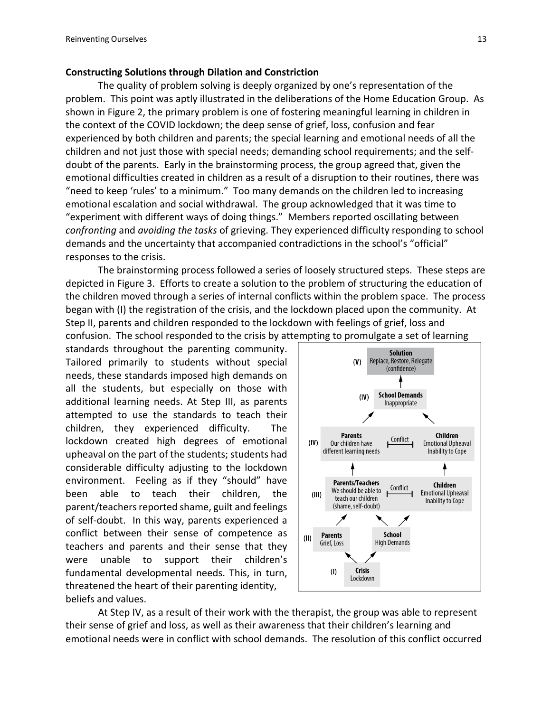### **Constructing Solutions through Dilation and Constriction**

The quality of problem solving is deeply organized by one's representation of the problem. This point was aptly illustrated in the deliberations of the Home Education Group. As shown in Figure 2, the primary problem is one of fostering meaningful learning in children in the context of the COVID lockdown; the deep sense of grief, loss, confusion and fear experienced by both children and parents; the special learning and emotional needs of all the children and not just those with special needs; demanding school requirements; and the selfdoubt of the parents. Early in the brainstorming process, the group agreed that, given the emotional difficulties created in children as a result of a disruption to their routines, there was "need to keep 'rules' to a minimum." Too many demands on the children led to increasing emotional escalation and social withdrawal. The group acknowledged that it was time to "experiment with different ways of doing things." Members reported oscillating between *confronting* and *avoiding the tasks* of grieving. They experienced difficulty responding to school demands and the uncertainty that accompanied contradictions in the school's "official" responses to the crisis.

The brainstorming process followed a series of loosely structured steps. These steps are depicted in Figure 3. Efforts to create a solution to the problem of structuring the education of the children moved through a series of internal conflicts within the problem space. The process began with (I) the registration of the crisis, and the lockdown placed upon the community. At Step II, parents and children responded to the lockdown with feelings of grief, loss and confusion. The school responded to the crisis by attempting to promulgate a set of learning

standards throughout the parenting community. Tailored primarily to students without special needs, these standards imposed high demands on all the students, but especially on those with additional learning needs. At Step III, as parents attempted to use the standards to teach their children, they experienced difficulty. The lockdown created high degrees of emotional upheaval on the part of the students; students had considerable difficulty adjusting to the lockdown environment. Feeling as if they "should" have been able to teach their children, the parent/teachers reported shame, guilt and feelings of self-doubt. In this way, parents experienced a conflict between their sense of competence as teachers and parents and their sense that they were unable to support their children's fundamental developmental needs. This, in turn, threatened the heart of their parenting identity, beliefs and values.



At Step IV, as a result of their work with the therapist, the group was able to represent their sense of grief and loss, as well as their awareness that their children's learning and emotional needs were in conflict with school demands. The resolution of this conflict occurred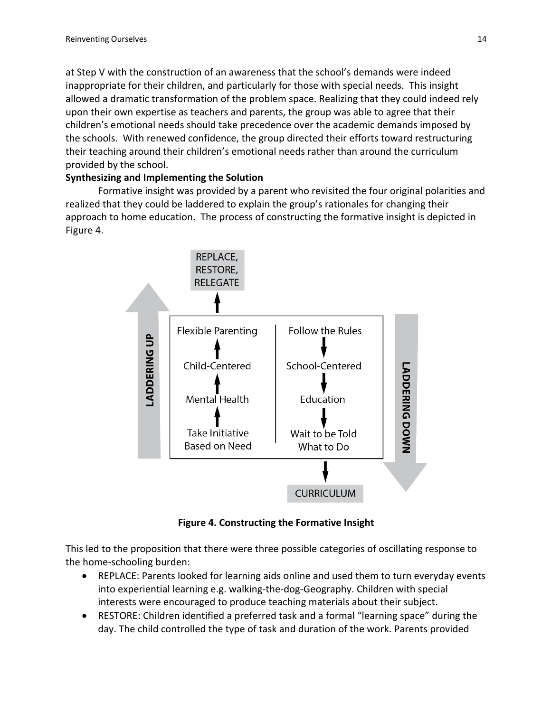at Step V with the construction of an awareness that the school's demands were indeed inappropriate for their children, and particularly for those with special needs. This insight allowed a dramatic transformation of the problem space. Realizing that they could indeed rely upon their own expertise as teachers and parents, the group was able to agree that their children's emotional needs should take precedence over the academic demands imposed by the schools. With renewed confidence, the group directed their efforts toward restructuring their teaching around their children's emotional needs rather than around the curriculum provided by the school.

# **Synthesizing and Implementing the Solution**

Formative insight was provided by a parent who revisited the four original polarities and realized that they could be laddered to explain the group's rationales for changing their approach to home education. The process of constructing the formative insight is depicted in Figure 4.



**Figure 4. Constructing the Formative Insight**

This led to the proposition that there were three possible categories of oscillating response to the home-schooling burden:

- REPLACE: Parents looked for learning aids online and used them to turn everyday events into experiential learning e.g. walking-the-dog-Geography. Children with special interests were encouraged to produce teaching materials about their subject.
- RESTORE: Children identified a preferred task and a formal "learning space" during the day. The child controlled the type of task and duration of the work. Parents provided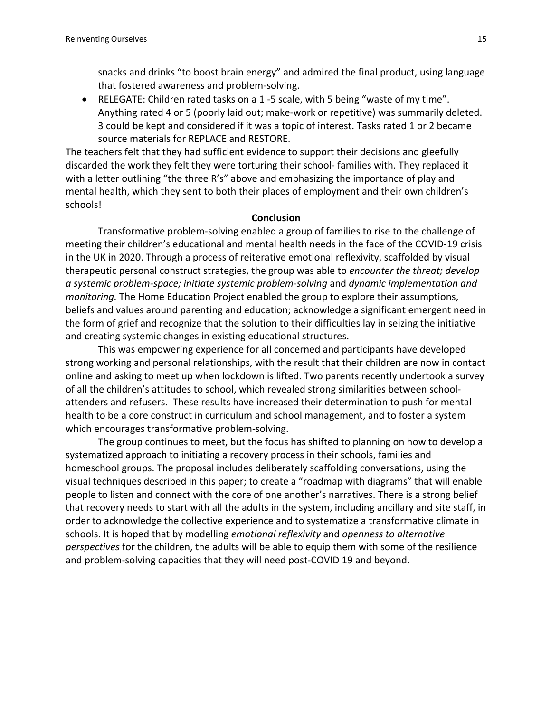snacks and drinks "to boost brain energy" and admired the final product, using language that fostered awareness and problem-solving.

• RELEGATE: Children rated tasks on a 1 -5 scale, with 5 being "waste of my time". Anything rated 4 or 5 (poorly laid out; make-work or repetitive) was summarily deleted. 3 could be kept and considered if it was a topic of interest. Tasks rated 1 or 2 became source materials for REPLACE and RESTORE.

The teachers felt that they had sufficient evidence to support their decisions and gleefully discarded the work they felt they were torturing their school- families with. They replaced it with a letter outlining "the three R's" above and emphasizing the importance of play and mental health, which they sent to both their places of employment and their own children's schools!

### **Conclusion**

Transformative problem-solving enabled a group of families to rise to the challenge of meeting their children's educational and mental health needs in the face of the COVID-19 crisis in the UK in 2020. Through a process of reiterative emotional reflexivity, scaffolded by visual therapeutic personal construct strategies, the group was able to *encounter the threat; develop a systemic problem-space; initiate systemic problem-solving* and *dynamic implementation and monitoring.* The Home Education Project enabled the group to explore their assumptions, beliefs and values around parenting and education; acknowledge a significant emergent need in the form of grief and recognize that the solution to their difficulties lay in seizing the initiative and creating systemic changes in existing educational structures.

This was empowering experience for all concerned and participants have developed strong working and personal relationships, with the result that their children are now in contact online and asking to meet up when lockdown is lifted. Two parents recently undertook a survey of all the children's attitudes to school, which revealed strong similarities between schoolattenders and refusers. These results have increased their determination to push for mental health to be a core construct in curriculum and school management, and to foster a system which encourages transformative problem-solving.

The group continues to meet, but the focus has shifted to planning on how to develop a systematized approach to initiating a recovery process in their schools, families and homeschool groups. The proposal includes deliberately scaffolding conversations, using the visual techniques described in this paper; to create a "roadmap with diagrams" that will enable people to listen and connect with the core of one another's narratives. There is a strong belief that recovery needs to start with all the adults in the system, including ancillary and site staff, in order to acknowledge the collective experience and to systematize a transformative climate in schools. It is hoped that by modelling *emotional reflexivity* and *openness to alternative perspectives* for the children, the adults will be able to equip them with some of the resilience and problem-solving capacities that they will need post-COVID 19 and beyond.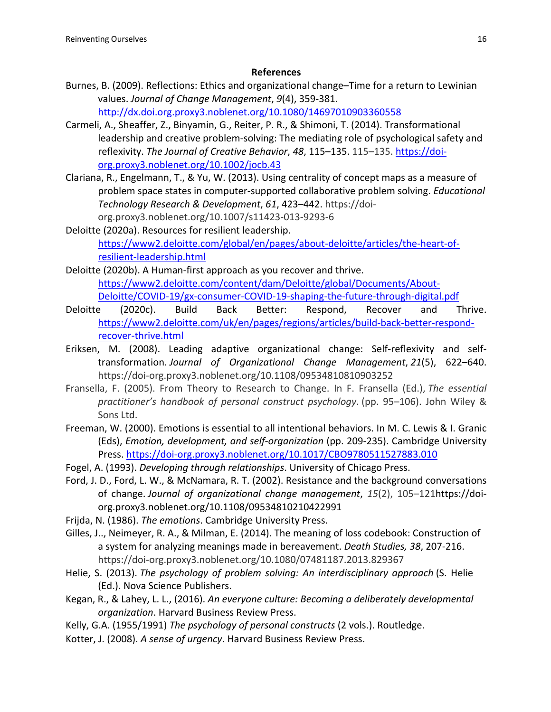# **References**

Burnes, B. (2009). Reflections: Ethics and organizational change–Time for a return to Lewinian values. *Journal of Change Management*, *9*(4), 359-381.

http://dx.doi.org.proxy3.noblenet.org/10.1080/14697010903360558

- Carmeli, A., Sheaffer, Z., Binyamin, G., Reiter, P. R., & Shimoni, T. (2014). Transformational leadership and creative problem-solving: The mediating role of psychological safety and reflexivity. *The Journal of Creative Behavior*, *48*, 115–135. 115–135. https://doiorg.proxy3.noblenet.org/10.1002/jocb.43
- Clariana, R., Engelmann, T., & Yu, W. (2013). Using centrality of concept maps as a measure of problem space states in computer-supported collaborative problem solving. *Educational Technology Research & Development*, *61*, 423–442. https://doiorg.proxy3.noblenet.org/10.1007/s11423-013-9293-6
- Deloitte (2020a). Resources for resilient leadership. https://www2.deloitte.com/global/en/pages/about-deloitte/articles/the-heart-ofresilient-leadership.html
- Deloitte (2020b). A Human-first approach as you recover and thrive. https://www2.deloitte.com/content/dam/Deloitte/global/Documents/About-Deloitte/COVID-19/gx-consumer-COVID-19-shaping-the-future-through-digital.pdf
- Deloitte (2020c). Build Back Better: Respond, Recover and Thrive. https://www2.deloitte.com/uk/en/pages/regions/articles/build-back-better-respondrecover-thrive.html
- Eriksen, M. (2008). Leading adaptive organizational change: Self-reflexivity and selftransformation. *Journal of Organizational Change Management*, *21*(5), 622–640. https://doi-org.proxy3.noblenet.org/10.1108/09534810810903252
- Fransella, F. (2005). From Theory to Research to Change. In F. Fransella (Ed.), *The essential practitioner's handbook of personal construct psychology.* (pp. 95–106). John Wiley & Sons Ltd.
- Freeman, W. (2000). Emotions is essential to all intentional behaviors. In M. C. Lewis & I. Granic (Eds), *Emotion, development, and self-organization* (pp. 209-235). Cambridge University Press. https://doi-org.proxy3.noblenet.org/10.1017/CBO9780511527883.010
- Fogel, A. (1993). *Developing through relationships*. University of Chicago Press.
- Ford, J. D., Ford, L. W., & McNamara, R. T. (2002). Resistance and the background conversations of change. *Journal of organizational change management*, *15*(2), 105–121https://doiorg.proxy3.noblenet.org/10.1108/09534810210422991
- Frijda, N. (1986). *The emotions*. Cambridge University Press.
- Gilles, J.., Neimeyer, R. A., & Milman, E. (2014). The meaning of loss codebook: Construction of a system for analyzing meanings made in bereavement. *Death Studies, 38*, 207-216. https://doi-org.proxy3.noblenet.org/10.1080/07481187.2013.829367
- Helie, S. (2013). *The psychology of problem solving: An interdisciplinary approach* (S. Helie (Ed.). Nova Science Publishers.
- Kegan, R., & Lahey, L. L., (2016). *An everyone culture: Becoming a deliberately developmental organization*. Harvard Business Review Press.
- Kelly, G.A. (1955/1991) *The psychology of personal constructs* (2 vols.). Routledge.
- Kotter, J. (2008). *A sense of urgency*. Harvard Business Review Press.